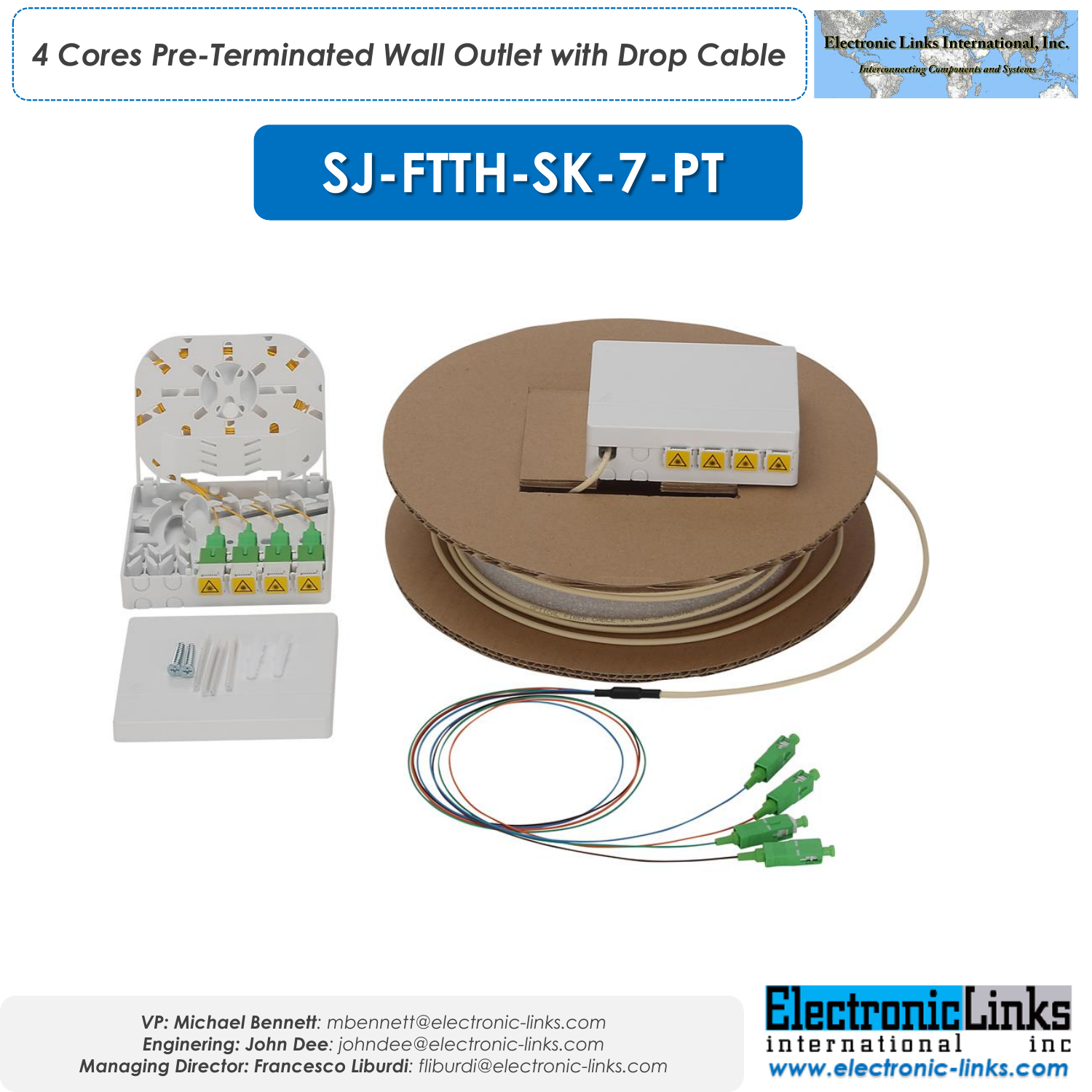

## **SJ-FTTH-SK-7-PT**



*VP: Michael Bennett: mbennett@electronic-links.com Enginering: John Dee: johndee@electronic-links.com Managing Director: Francesco Liburdi: fliburdi@electronic-links.com*

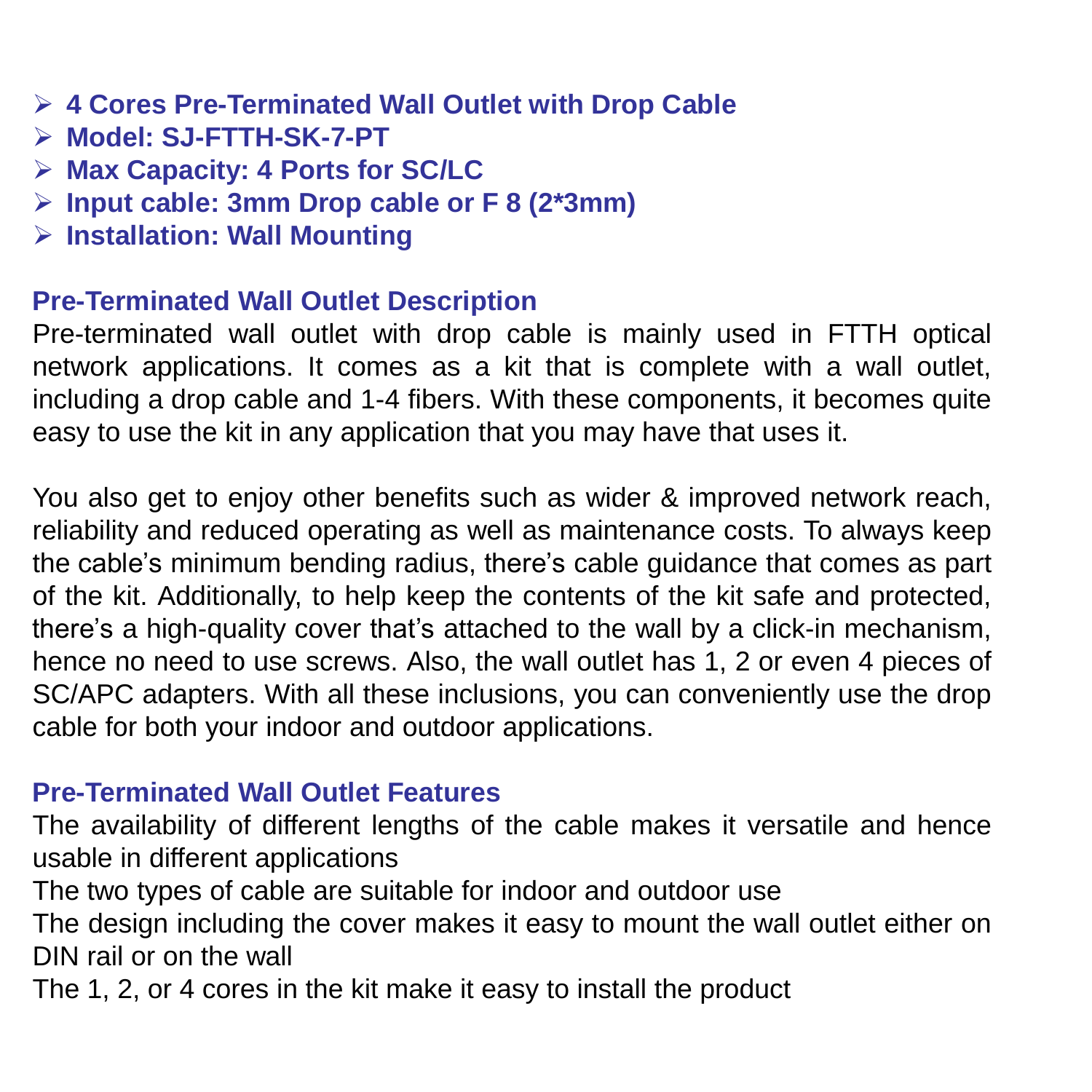- ➢ **4 Cores Pre-Terminated Wall Outlet with Drop Cable**
- ➢ **Model: SJ-FTTH-SK-7-PT**
- ➢ **Max Capacity: 4 Ports for SC/LC**
- ➢ **Input cable: 3mm Drop cable or F 8 (2\*3mm)**
- ➢ **Installation: Wall Mounting**

## **Pre-Terminated Wall Outlet Description**

Pre-terminated wall outlet with drop cable is mainly used in FTTH optical network applications. It comes as a kit that is complete with a wall outlet, including a drop cable and 1-4 fibers. With these components, it becomes quite easy to use the kit in any application that you may have that uses it.

You also get to enjoy other benefits such as wider & improved network reach, reliability and reduced operating as well as maintenance costs. To always keep the cable's minimum bending radius, there's cable guidance that comes as part of the kit. Additionally, to help keep the contents of the kit safe and protected, there's a high-quality cover that's attached to the wall by a click-in mechanism, hence no need to use screws. Also, the wall outlet has 1, 2 or even 4 pieces of SC/APC adapters. With all these inclusions, you can conveniently use the drop cable for both your indoor and outdoor applications.

## **Pre-Terminated Wall Outlet Features**

The availability of different lengths of the cable makes it versatile and hence usable in different applications

The two types of cable are suitable for indoor and outdoor use

The design including the cover makes it easy to mount the wall outlet either on DIN rail or on the wall

The 1, 2, or 4 cores in the kit make it easy to install the product